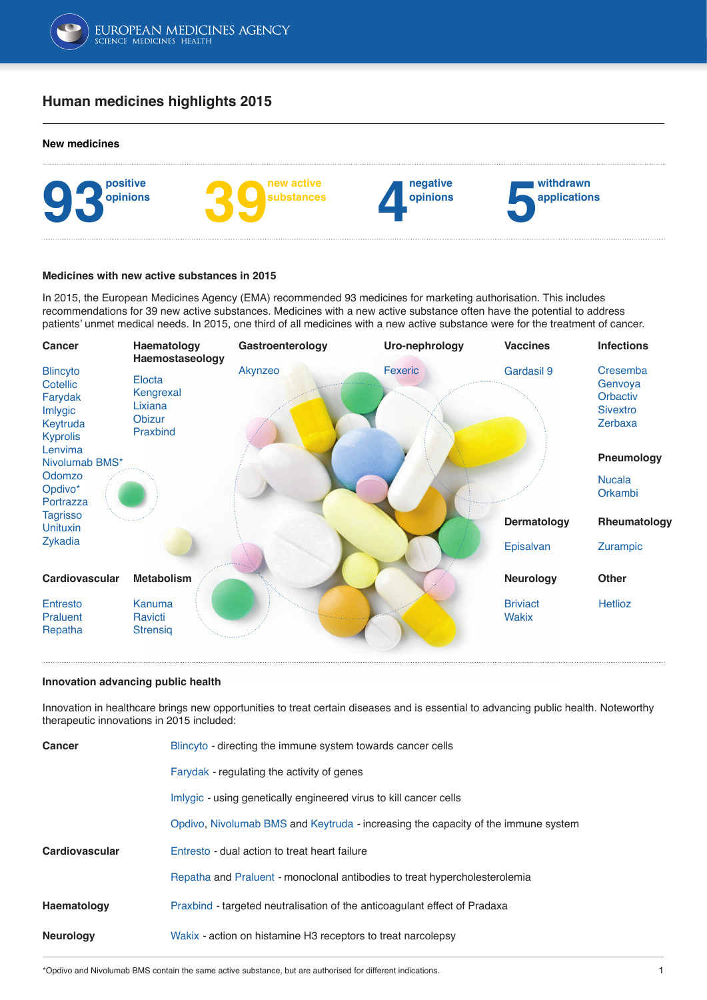

# **Human medicines highlights 2015**

#### **New medicines**



#### **Medicines with new active substances in 2015**

In 2015, the European Medicines Agency (EMA) recommended 93 medicines for marketing authorisation. This includes recommendations for 39 new active substances. Medicines with a new active substance often have the potential to address patients' unmet medical needs. In 2015, one third of all medicines with a new active substance were for the treatment of cancer.



#### **Innovation advancing public health**

Innovation in healthcare brings new opportunities to treat certain diseases and is essential to advancing public health. Noteworthy therapeutic innovations in 2015 included:

| Cancer           | Blincyto - directing the immune system towards cancer cells                       |  |
|------------------|-----------------------------------------------------------------------------------|--|
|                  | Farydak - regulating the activity of genes                                        |  |
|                  | Imlygic - using genetically engineered virus to kill cancer cells                 |  |
|                  | Opdivo, Nivolumab BMS and Keytruda - increasing the capacity of the immune system |  |
| Cardiovascular   | Entresto - dual action to treat heart failure                                     |  |
|                  | Repatha and Praluent - monoclonal antibodies to treat hypercholesterolemia        |  |
| Haematology      | Praxbind - targeted neutralisation of the anticoagulant effect of Pradaxa         |  |
| <b>Neurology</b> | Wakix - action on histamine H3 receptors to treat narcolepsy                      |  |
|                  |                                                                                   |  |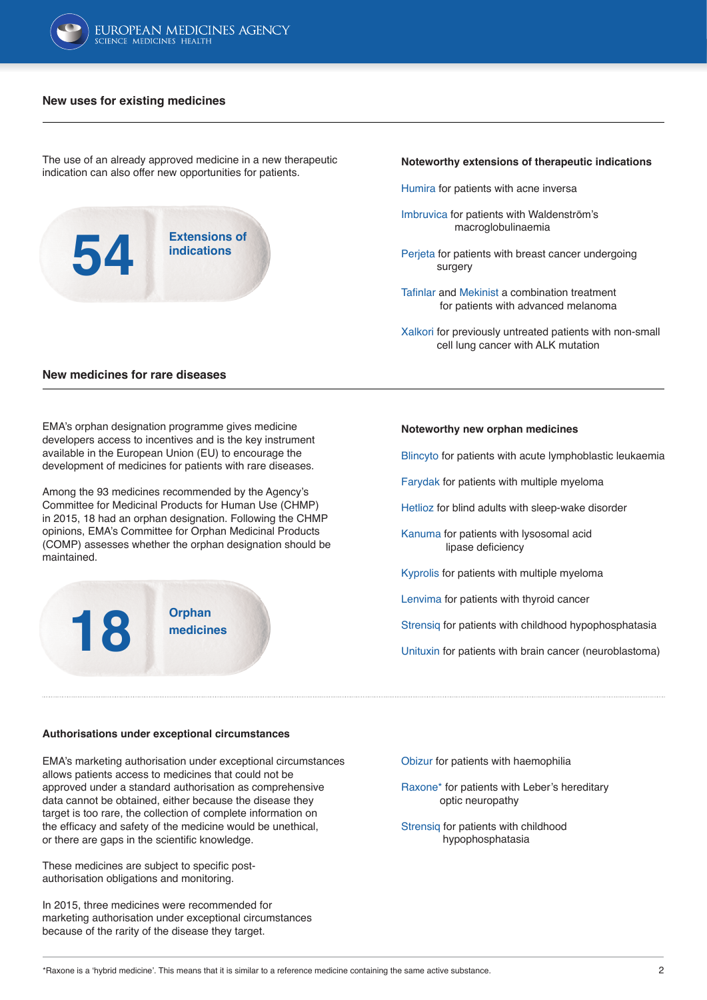

### **New uses for existing medicines**

The use of an already approved medicine in a new therapeutic indication can also offer new opportunities for patients.

**Extensions of indications 54**

### **Noteworthy extensions of therapeutic indications**

- [Humira](http://www.ema.europa.eu/ema/index.jsp?curl=pages/medicines/human/medicines/000481/human_med_000822.jsp&mid=WC0b01ac058001d124) for patients with acne inversa
- [Imbruvica](http://www.ema.europa.eu/ema/index.jsp?curl=pages/medicines/human/medicines/003791/human_med_001801.jsp&mid=WC0b01ac058001d124) for patients with Waldenström's macroglobulinaemia
- [Perjeta](http://www.ema.europa.eu/ema/index.jsp?curl=pages/medicines/human/medicines/002547/human_med_001628.jsp&mid=WC0b01ac058001d124) for patients with breast cancer undergoing surgery
- [Tafinlar](http://www.ema.europa.eu/ema/index.jsp?curl=pages/medicines/human/medicines/002604/human_med_001683.jsp&mid=WC0b01ac058001d124) and [Mekinist](http://www.ema.europa.eu/ema/index.jsp?curl=pages/medicines/human/medicines/002643/human_med_001772.jsp&mid=WC0b01ac058001d124) a combination treatment for patients with advanced melanoma
- [Xalkori](http://www.ema.europa.eu/ema/index.jsp?curl=pages/medicines/human/medicines/002489/human_med_001592.jsp&mid=WC0b01ac058001d124) for previously untreated patients with non-small cell lung cancer with ALK mutation

### **New medicines for rare diseases**

EMA's orphan designation programme gives medicine developers access to incentives and is the key instrument available in the European Union (EU) to encourage the development of medicines for patients with rare diseases.

Among the 93 medicines recommended by the Agency's Committee for Medicinal Products for Human Use (CHMP) in 2015, 18 had an orphan designation. Following the CHMP opinions, EMA's Committee for Orphan Medicinal Products (COMP) assesses whether the orphan designation should be maintained.



### **Noteworthy new orphan medicines**

[Blincyto](http://www.ema.europa.eu/ema/index.jsp?curl=pages/medicines/human/medicines/003731/human_med_001921.jsp&mid=WC0b01ac058001d124) for patients with acute lymphoblastic leukaemia

[Farydak](http://www.ema.europa.eu/ema/index.jsp?curl=pages/medicines/human/medicines/003725/human_med_001895.jsp&mid=WC0b01ac058001d124) for patients with multiple myeloma

[Hetlioz](http://www.ema.europa.eu/ema/index.jsp?curl=pages/medicines/human/medicines/003870/human_med_001873.jsp&mid=WC0b01ac058001d124) for blind adults with sleep-wake disorder

[Kanuma](http://www.ema.europa.eu/ema/index.jsp?curl=pages/medicines/human/medicines/004004/human_med_001896.jsp&mid=WC0b01ac058001d124) for patients with lysosomal acid lipase deficiency

[Kyprolis](http://www.ema.europa.eu/ema/index.jsp?curl=pages/medicines/human/medicines/003790/human_med_001932.jsp&mid=WC0b01ac058001d124) for patients with multiple myeloma

[Lenvima](http://www.ema.europa.eu/ema/index.jsp?curl=pages/medicines/human/medicines/003727/human_med_001864.jsp&mid=WC0b01ac058001d124) for patients with thyroid cancer

[Strensiq](http://www.ema.europa.eu/ema/index.jsp?curl=pages/medicines/human/medicines/003794/human_med_001901.jsp&mid=WC0b01ac058001d124) for patients with childhood hypophosphatasia

[Unituxin](http://www.ema.europa.eu/ema/index.jsp?curl=pages/medicines/human/medicines/002800/human_med_001891.jsp&mid=WC0b01ac058001d124) for patients with brain cancer (neuroblastoma)

### **Authorisations under exceptional circumstances**

EMA's marketing authorisation under exceptional circumstances allows patients access to medicines that could not be approved under a standard authorisation as comprehensive data cannot be obtained, either because the disease they target is too rare, the collection of complete information on the efficacy and safety of the medicine would be unethical, or there are gaps in the scientific knowledge.

These medicines are subject to specific postauthorisation obligations and monitoring.

In 2015, three medicines were recommended for marketing authorisation under exceptional circumstances because of the rarity of the disease they target.

[Obizur](http://www.ema.europa.eu/ema/index.jsp?curl=pages/medicines/human/medicines/002792/human_med_001918.jsp&mid=WC0b01ac058001d124) for patients with haemophilia

[Raxone](http://www.ema.europa.eu/ema/index.jsp?curl=pages/medicines/human/medicines/003834/human_med_001900.jsp&mid=WC0b01ac058001d124)\* for patients with Leber's hereditary optic neuropathy

[Strensiq](http://www.ema.europa.eu/ema/index.jsp?curl=pages/medicines/human/medicines/003794/human_med_001901.jsp&mid=WC0b01ac058001d124) for patients with childhood hypophosphatasia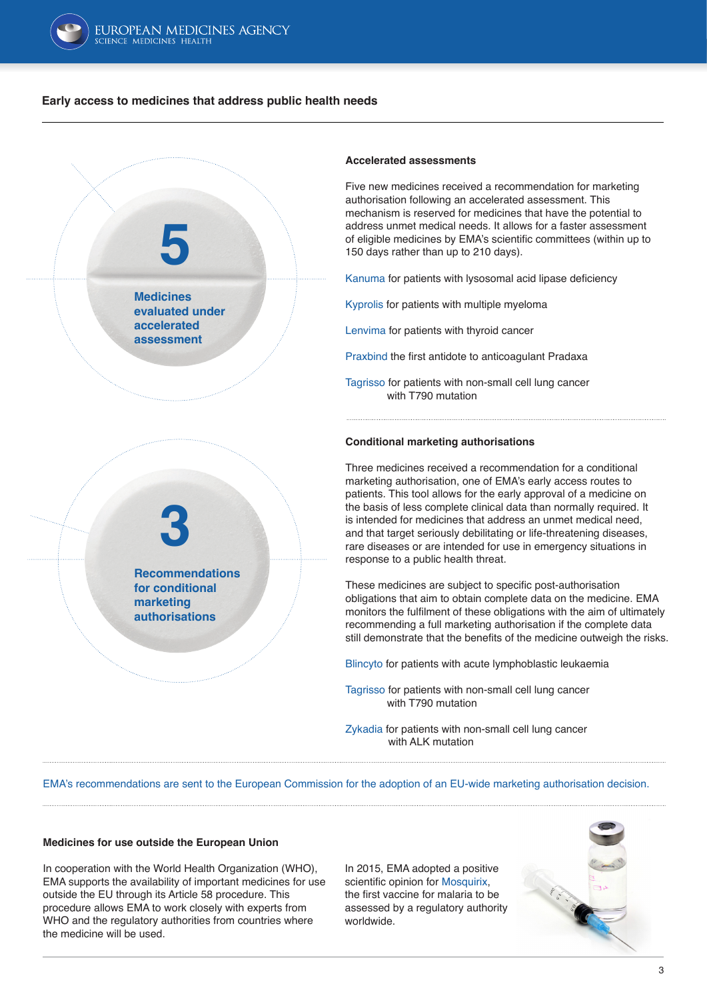

## **Early access to medicines that address public health needs**



### **Accelerated assessments**

Five new medicines received a recommendation for marketing authorisation following an accelerated assessment. This mechanism is reserved for medicines that have the potential to address unmet medical needs. It allows for a faster assessment of eligible medicines by EMA's scientific committees (within up to 150 days rather than up to 210 days).

[Kanuma](http://www.ema.europa.eu/ema/index.jsp?curl=pages/medicines/human/medicines/004004/human_med_001896.jsp&mid=WC0b01ac058001d124) for patients with lysosomal acid lipase deficiency

[Kyprolis](http://www.ema.europa.eu/ema/index.jsp?curl=pages/medicines/human/medicines/003790/human_med_001932.jsp&mid=WC0b01ac058001d124) for patients with multiple myeloma

[Lenvima](http://www.ema.europa.eu/ema/index.jsp?curl=pages/medicines/human/medicines/003727/human_med_001864.jsp&mid=WC0b01ac058001d124) for patients with thyroid cancer

[Praxbind](http://www.ema.europa.eu/ema/index.jsp?curl=pages/medicines/human/medicines/003986/human_med_001938.jsp&mid=WC0b01ac058001d124) the first antidote to anticoagulant Pradaxa

[Tagrisso](http://www.ema.europa.eu/docs/en_GB/document_library/Summary_of_opinion_-_Initial_authorisation/human/004124/WC500199046.pdf) for patients with non-small cell lung cancer with T790 mutation

### **Conditional marketing authorisations**

Three medicines received a recommendation for a conditional marketing authorisation, one of EMA's early access routes to patients. This tool allows for the early approval of a medicine on the basis of less complete clinical data than normally required. It is intended for medicines that address an unmet medical need, and that target seriously debilitating or life-threatening diseases, rare diseases or are intended for use in emergency situations in response to a public health threat.

These medicines are subject to specific post-authorisation obligations that aim to obtain complete data on the medicine. EMA monitors the fulfilment of these obligations with the aim of ultimately recommending a full marketing authorisation if the complete data still demonstrate that the benefits of the medicine outweigh the risks.

[Blincyto](http://www.ema.europa.eu/ema/index.jsp?curl=pages/medicines/human/medicines/003731/human_med_001921.jsp&mid=WC0b01ac058001d124) for patients with acute lymphoblastic leukaemia

[Tagrisso](http://www.ema.europa.eu/docs/en_GB/document_library/Summary_of_opinion_-_Initial_authorisation/human/004124/WC500199046.pdf) for patients with non-small cell lung cancer with T790 mutation

[Zykadia](http://www.ema.europa.eu/ema/index.jsp?curl=pages/medicines/human/medicines/003819/human_med_001860.jsp&mid=WC0b01ac058001d124) for patients with non-small cell lung cancer with ALK mutation

EMA's recommendations are sent to the European Commission for the adoption of an EU-wide marketing authorisation decision.

### **Medicines for use outside the European Union**

In cooperation with the World Health Organization (WHO), EMA supports the availability of important medicines for use outside the EU through its Article 58 procedure. This procedure allows EMA to work closely with experts from WHO and the regulatory authorities from countries where the medicine will be used.

In 2015, EMA adopted a positive scientific opinion for [Mosquirix,](http://www.ema.europa.eu/ema/index.jsp?curl=pages/medicines/document_listing/document_listing_000395.jsp&mid) the first vaccine for malaria to be assessed by a regulatory authority worldwide.

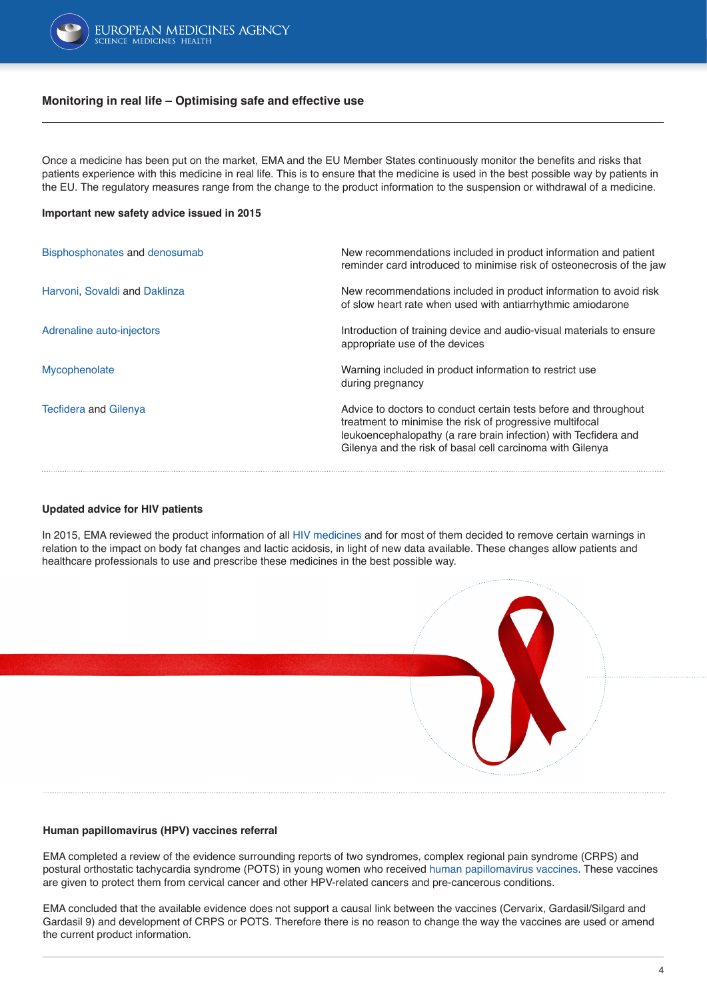

## **Monitoring in real life – Optimising safe and effective use**

Once a medicine has been put on the market, EMA and the EU Member States continuously monitor the benefits and risks that patients experience with this medicine in real life. This is to ensure that the medicine is used in the best possible way by patients in the EU. The regulatory measures range from the change to the product information to the suspension or withdrawal of a medicine.

### **Important new safety advice issued in 2015**

| Bisphosphonates and denosumab | New recommendations included in product information and patient<br>reminder card introduced to minimise risk of osteonecrosis of the jaw                                                                                                                     |
|-------------------------------|--------------------------------------------------------------------------------------------------------------------------------------------------------------------------------------------------------------------------------------------------------------|
| Harvoni, Sovaldi and Daklinza | New recommendations included in product information to avoid risk<br>of slow heart rate when used with antiarrhythmic amiodarone                                                                                                                             |
| Adrenaline auto-injectors     | Introduction of training device and audio-visual materials to ensure<br>appropriate use of the devices                                                                                                                                                       |
| Mycophenolate                 | Warning included in product information to restrict use<br>during pregnancy                                                                                                                                                                                  |
| <b>Tecfidera and Gilenya</b>  | Advice to doctors to conduct certain tests before and throughout<br>treatment to minimise the risk of progressive multifocal<br>leukoencephalopathy (a rare brain infection) with Tecfidera and<br>Gilenya and the risk of basal cell carcinoma with Gilenya |

### **[Updated advice for HIV patients](http://www.ema.europa.eu/ema/index.jsp?curl=pages/news_and_events/news/2015/10/news_detail_002419.jsp&mid=WC0b01ac058004d5c1)**

In 2015, EMA reviewed the product information of all [HIV medicines](http://www.ema.europa.eu/ema/index.jsp?curl=pages/news_and_events/news/2015/10/news_detail_002419.jsp&mid=WC0b01ac058004d5c1) and for most of them decided to remove certain warnings in relation to the impact on body fat changes and lactic acidosis, in light of new data available. These changes allow patients and healthcare professionals to use and prescribe these medicines in the best possible way.



### **[Human papillomavirus \(HPV\) vaccines referral](http://www.ema.europa.eu/ema/index.jsp?curl=pages/news_and_events/news/2015/11/news_detail_002436.jsp&mid=WC0b01ac058004d5c1)**

EMA completed a review of the evidence surrounding reports of two syndromes, complex regional pain syndrome (CRPS) and postural orthostatic tachycardia syndrome (POTS) in young women who received [human papillomavirus vaccines.](http://www.ema.europa.eu/ema/index.jsp?curl=pages/news_and_events/news/2015/11/news_detail_002436.jsp&mid=WC0b01ac058004d5c1) These vaccines are given to protect them from cervical cancer and other HPV-related cancers and pre-cancerous conditions.

EMA concluded that the available evidence does not support a causal link between the vaccines (Cervarix, Gardasil/Silgard and Gardasil 9) and development of CRPS or POTS. Therefore there is no reason to change the way the vaccines are used or amend the current product information.